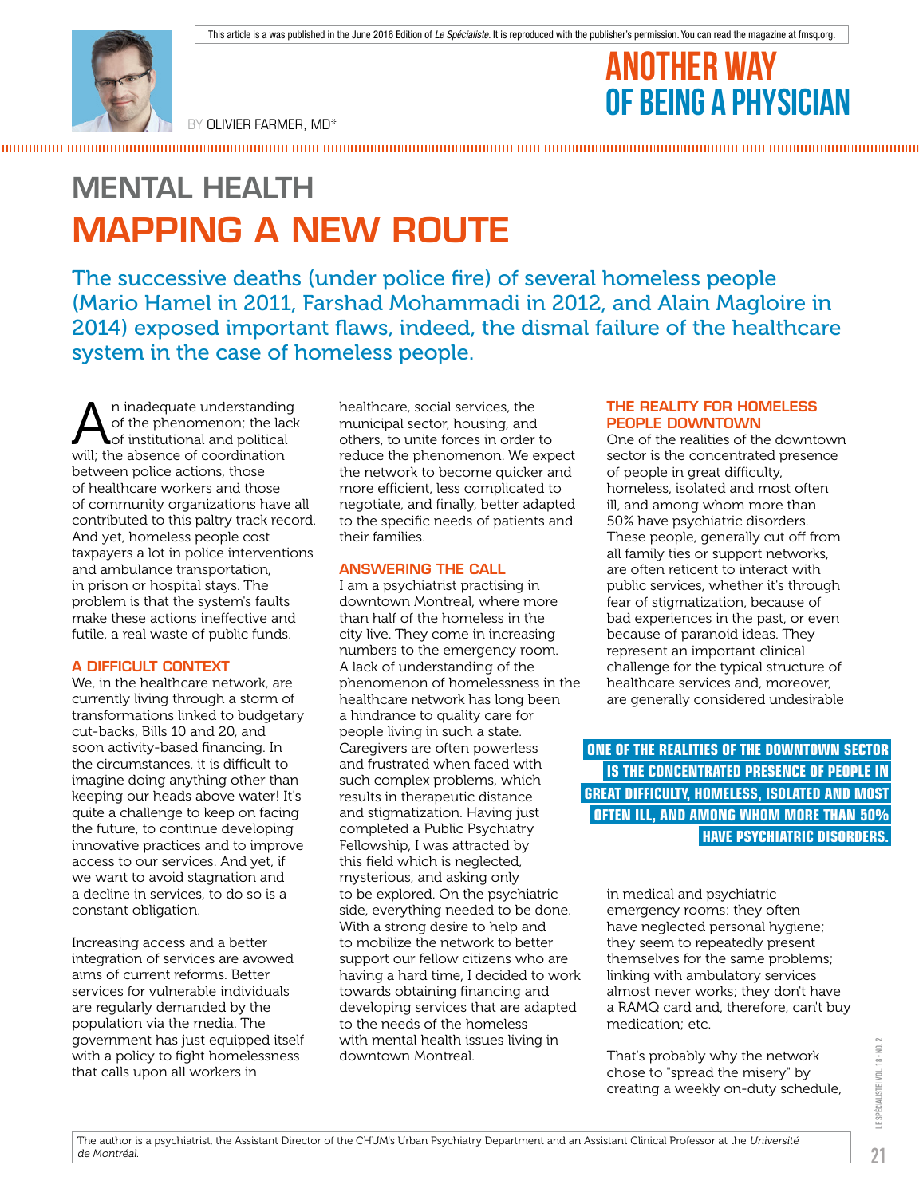

BY OLIVIER FARMER, MD\*

## ANOTHER WAY OF BEING A PHYSICIAN

# MENTAL HEALTH MAPPING A NEW ROUTE

The successive deaths (under police fire) of several homeless people (Mario Hamel in 2011, Farshad Mohammadi in 2012, and Alain Magloire in 2014) exposed important flaws, indeed, the dismal failure of the healthcare system in the case of homeless people.

An inadequate understanding of the phenomenon; the lack of institutional and political will; the absence of coordination between police actions, those of healthcare workers and those of community organizations have all contributed to this paltry track record. And yet, homeless people cost taxpayers a lot in police interventions and ambulance transportation, in prison or hospital stays. The problem is that the system's faults make these actions ineffective and futile, a real waste of public funds.

## A DIFFICULT CONTEXT

We, in the healthcare network, are currently living through a storm of transformations linked to budgetary cut-backs, Bills 10 and 20, and soon activity-based financing. In the circumstances, it is difficult to imagine doing anything other than keeping our heads above water! It's quite a challenge to keep on facing the future, to continue developing innovative practices and to improve access to our services. And yet, if we want to avoid stagnation and a decline in services, to do so is a constant obligation.

Increasing access and a better integration of services are avowed aims of current reforms. Better services for vulnerable individuals are regularly demanded by the population via the media. The government has just equipped itself with a policy to fight homelessness that calls upon all workers in

healthcare, social services, the municipal sector, housing, and others, to unite forces in order to reduce the phenomenon. We expect the network to become quicker and more efficient, less complicated to negotiate, and finally, better adapted to the specific needs of patients and their families.

## ANSWERING THE CALL

I am a psychiatrist practising in downtown Montreal, where more than half of the homeless in the city live. They come in increasing numbers to the emergency room. A lack of understanding of the phenomenon of homelessness in the healthcare network has long been a hindrance to quality care for people living in such a state. Caregivers are often powerless and frustrated when faced with such complex problems, which results in therapeutic distance and stigmatization. Having just completed a Public Psychiatry Fellowship, I was attracted by this field which is neglected, mysterious, and asking only to be explored. On the psychiatric side, everything needed to be done. With a strong desire to help and to mobilize the network to better support our fellow citizens who are having a hard time, I decided to work towards obtaining financing and developing services that are adapted to the needs of the homeless with mental health issues living in downtown Montreal.

#### THE REALITY FOR HOMELESS PEOPLE DOWNTOWN

One of the realities of the downtown sector is the concentrated presence of people in great difficulty, homeless, isolated and most often ill, and among whom more than 50% have psychiatric disorders. These people, generally cut off from all family ties or support networks, are often reticent to interact with public services, whether it's through fear of stigmatization, because of bad experiences in the past, or even because of paranoid ideas. They represent an important clinical challenge for the typical structure of healthcare services and, moreover, are generally considered undesirable

 **ONE OF THE REALITIES OF THE DOWNTOWN SECTOR IS THE CONCENTRATED PRESENCE OF PEOPLE IN GREAT DIFFICULTY, HOMELESS, ISOLATED AND MOST OFTEN ILL, AND AMONG WHOM MORE THAN 50% HAVE PSYCHIATRIC DISORDERS.** 

in medical and psychiatric emergency rooms: they often have neglected personal hygiene; they seem to repeatedly present themselves for the same problems; linking with ambulatory services almost never works; they don't have a RAMQ card and, therefore, can't buy medication; etc.

That's probably why the network chose to "spread the misery" by creating a weekly on-duty schedule,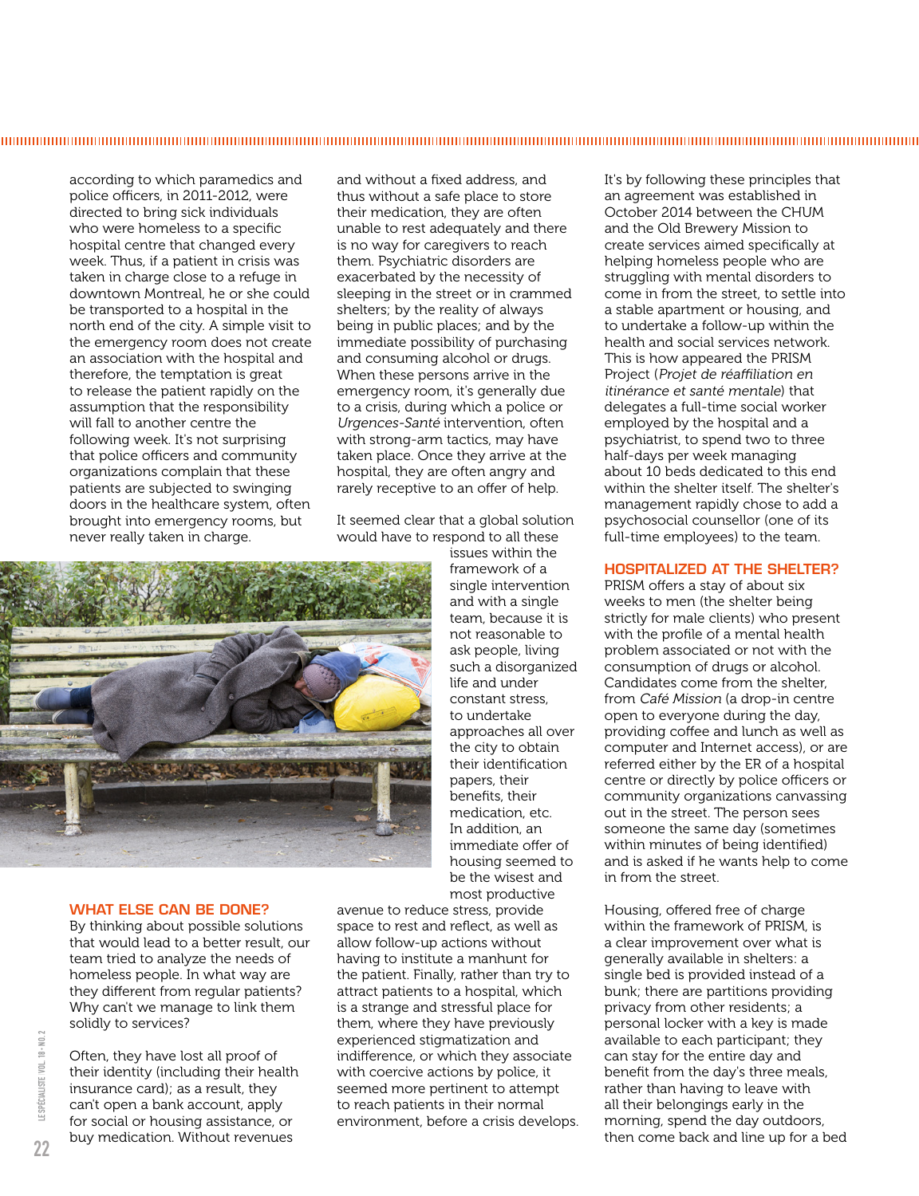according to which paramedics and police officers, in 2011-2012, were directed to bring sick individuals who were homeless to a specific hospital centre that changed every week. Thus, if a patient in crisis was taken in charge close to a refuge in downtown Montreal, he or she could be transported to a hospital in the north end of the city. A simple visit to the emergency room does not create an association with the hospital and therefore, the temptation is great to release the patient rapidly on the assumption that the responsibility will fall to another centre the following week. It's not surprising that police officers and community organizations complain that these patients are subjected to swinging doors in the healthcare system, often brought into emergency rooms, but never really taken in charge.

and without a fixed address, and thus without a safe place to store their medication, they are often unable to rest adequately and there is no way for caregivers to reach them. Psychiatric disorders are exacerbated by the necessity of sleeping in the street or in crammed shelters; by the reality of always being in public places; and by the immediate possibility of purchasing and consuming alcohol or drugs. When these persons arrive in the emergency room, it's generally due to a crisis, during which a police or Urgences-Santé intervention, often with strong-arm tactics, may have taken place. Once they arrive at the hospital, they are often angry and rarely receptive to an offer of help.

It seemed clear that a global solution would have to respond to all these

issues within the framework of a single intervention and with a single team, because it is not reasonable to ask people, living such a disorganized life and under constant stress, to undertake approaches all over the city to obtain their identification papers, their benefits, their medication, etc. In addition, an immediate offer of housing seemed to be the wisest and most productive

#### WHAT ELSE CAN BE DONE?

By thinking about possible solutions that would lead to a better result, our team tried to analyze the needs of homeless people. In what way are they different from regular patients? Why can't we manage to link them solidly to services?

Often, they have lost all proof of their identity (including their health insurance card); as a result, they can't open a bank account, apply for social or housing assistance, or buy medication. Without revenues

avenue to reduce stress, provide space to rest and reflect, as well as allow follow-up actions without having to institute a manhunt for the patient. Finally, rather than try to attract patients to a hospital, which is a strange and stressful place for them, where they have previously experienced stigmatization and indifference, or which they associate with coercive actions by police, it seemed more pertinent to attempt to reach patients in their normal environment, before a crisis develops. It's by following these principles that an agreement was established in October 2014 between the CHUM and the Old Brewery Mission to create services aimed specifically at helping homeless people who are struggling with mental disorders to come in from the street, to settle into a stable apartment or housing, and to undertake a follow-up within the health and social services network. This is how appeared the PRISM Project (Projet de réaffiliation en itinérance et santé mentale) that delegates a full-time social worker employed by the hospital and a psychiatrist, to spend two to three half-days per week managing about 10 beds dedicated to this end within the shelter itself. The shelter's management rapidly chose to add a psychosocial counsellor (one of its full-time employees) to the team.

#### HOSPITALIZED AT THE SHELTER?

PRISM offers a stay of about six weeks to men (the shelter being strictly for male clients) who present with the profile of a mental health problem associated or not with the consumption of drugs or alcohol. Candidates come from the shelter, from Café Mission (a drop-in centre open to everyone during the day, providing coffee and lunch as well as computer and Internet access), or are referred either by the ER of a hospital centre or directly by police officers or community organizations canvassing out in the street. The person sees someone the same day (sometimes within minutes of being identified) and is asked if he wants help to come in from the street.

Housing, offered free of charge within the framework of PRISM, is a clear improvement over what is generally available in shelters: a single bed is provided instead of a bunk; there are partitions providing privacy from other residents; a personal locker with a key is made available to each participant; they can stay for the entire day and benefit from the day's three meals, rather than having to leave with all their belongings early in the morning, spend the day outdoors, then come back and line up for a bed

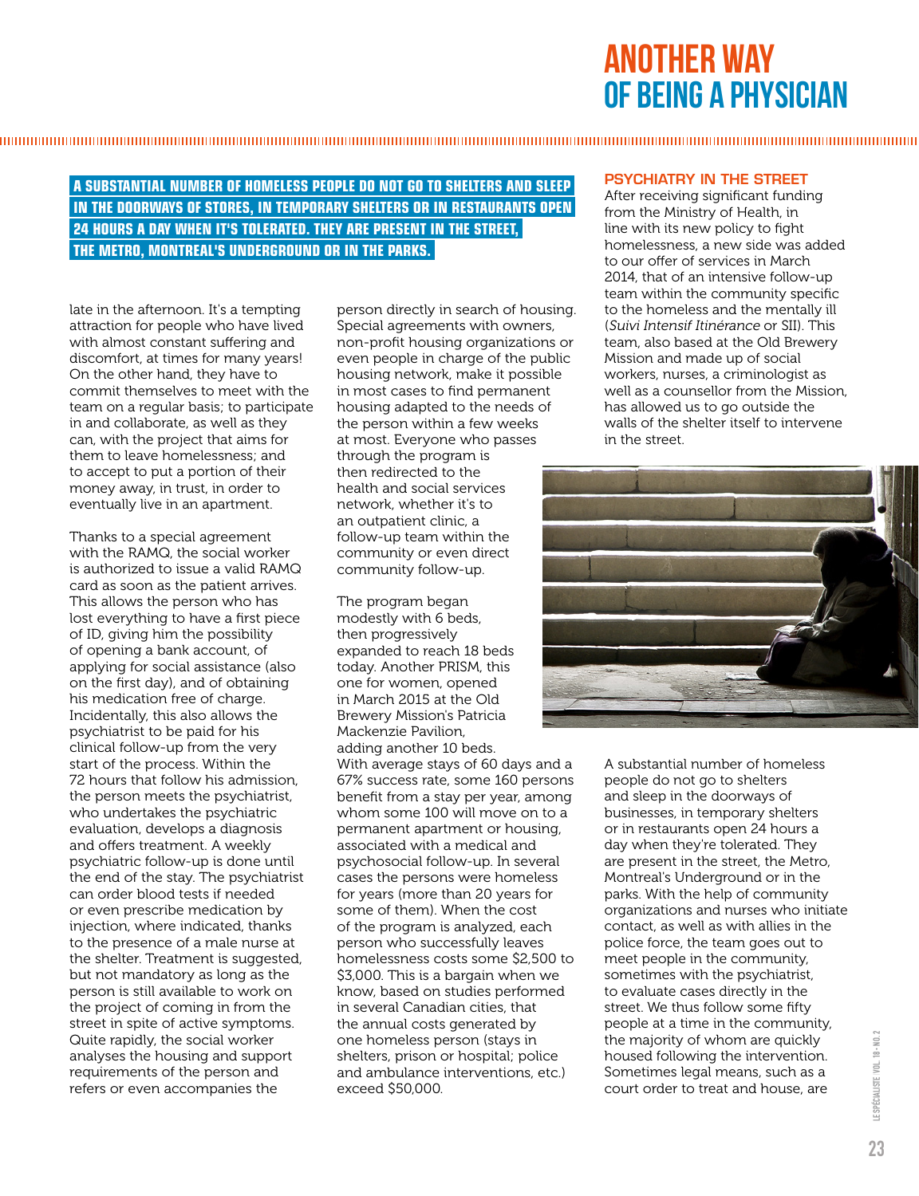## ANOTHER WAY OF BEING A PHYSICIAN

## **A SUBSTANTIAL NUMBER OF HOMELESS PEOPLE DO NOT GO TO SHELTERS AND SLEEP IN THE DOORWAYS OF STORES, IN TEMPORARY SHELTERS OR IN RESTAURANTS OPEN 24 HOURS A DAY WHEN IT'S TOLERATED. THEY ARE PRESENT IN THE STREET, THE METRO, MONTREAL'S UNDERGROUND OR IN THE PARKS.**

late in the afternoon. It's a tempting attraction for people who have lived with almost constant suffering and discomfort, at times for many years! On the other hand, they have to commit themselves to meet with the team on a regular basis; to participate in and collaborate, as well as they can, with the project that aims for them to leave homelessness; and to accept to put a portion of their money away, in trust, in order to eventually live in an apartment.

Thanks to a special agreement with the RAMQ, the social worker is authorized to issue a valid RAMQ card as soon as the patient arrives. This allows the person who has lost everything to have a first piece of ID, giving him the possibility of opening a bank account, of applying for social assistance (also on the first day), and of obtaining his medication free of charge. Incidentally, this also allows the psychiatrist to be paid for his clinical follow-up from the very start of the process. Within the 72 hours that follow his admission, the person meets the psychiatrist, who undertakes the psychiatric evaluation, develops a diagnosis and offers treatment. A weekly psychiatric follow-up is done until the end of the stay. The psychiatrist can order blood tests if needed or even prescribe medication by injection, where indicated, thanks to the presence of a male nurse at the shelter. Treatment is suggested, but not mandatory as long as the person is still available to work on the project of coming in from the street in spite of active symptoms. Quite rapidly, the social worker analyses the housing and support requirements of the person and refers or even accompanies the

person directly in search of housing. Special agreements with owners, non-profit housing organizations or even people in charge of the public housing network, make it possible in most cases to find permanent housing adapted to the needs of the person within a few weeks at most. Everyone who passes through the program is then redirected to the health and social services network, whether it's to an outpatient clinic, a follow-up team within the community or even direct community follow-up.

The program began modestly with 6 beds, then progressively expanded to reach 18 beds today. Another PRISM, this one for women, opened in March 2015 at the Old Brewery Mission's Patricia Mackenzie Pavilion, adding another 10 beds. With average stays of 60 days and a 67% success rate, some 160 persons benefit from a stay per year, among whom some 100 will move on to a permanent apartment or housing, associated with a medical and psychosocial follow-up. In several cases the persons were homeless for years (more than 20 years for some of them). When the cost of the program is analyzed, each person who successfully leaves homelessness costs some \$2,500 to \$3,000. This is a bargain when we know, based on studies performed in several Canadian cities, that the annual costs generated by one homeless person (stays in shelters, prison or hospital; police and ambulance interventions, etc.) exceed \$50,000.

### PSYCHIATRY IN THE STREET

After receiving significant funding from the Ministry of Health, in line with its new policy to fight homelessness, a new side was added to our offer of services in March 2014, that of an intensive follow-up team within the community specific to the homeless and the mentally ill (Suivi Intensif Itinérance or SII). This team, also based at the Old Brewery Mission and made up of social workers, nurses, a criminologist as well as a counsellor from the Mission, has allowed us to go outside the walls of the shelter itself to intervene in the street.



A substantial number of homeless people do not go to shelters and sleep in the doorways of businesses, in temporary shelters or in restaurants open 24 hours a day when they're tolerated. They are present in the street, the Metro, Montreal's Underground or in the parks. With the help of community organizations and nurses who initiate contact, as well as with allies in the police force, the team goes out to meet people in the community, sometimes with the psychiatrist, to evaluate cases directly in the street. We thus follow some fifty people at a time in the community, the majority of whom are quickly housed following the intervention. Sometimes legal means, such as a court order to treat and house, are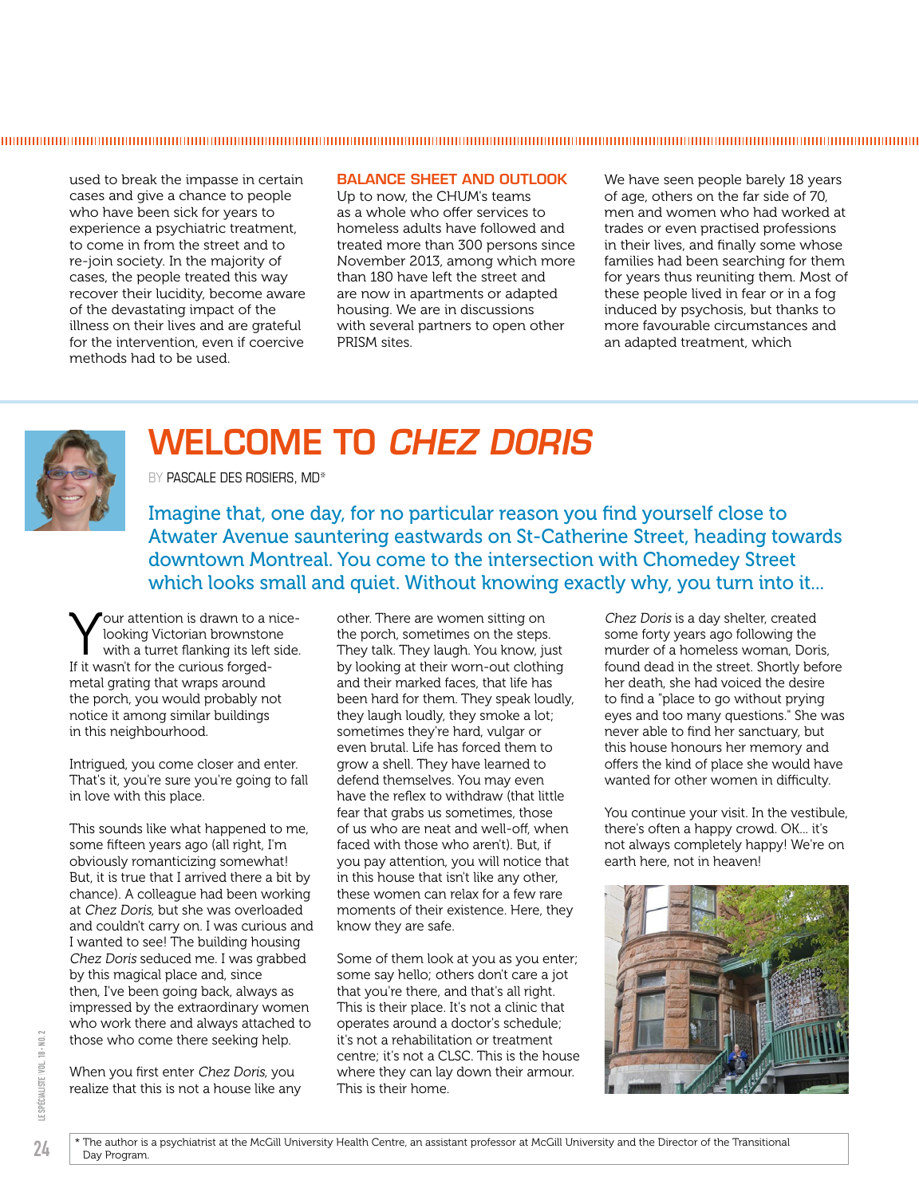used to break the impasse in certain cases and give a chance to people who have been sick for years to experience a psychiatric treatment, to come in from the street and to re-join society. In the majority of cases, the people treated this way recover their lucidity, become aware of the devastating impact of the illness on their lives and are grateful for the intervention, even if coercive methods had to be used.

### BALANCE SHEET AND OUTLOOK

Up to now, the CHUM's teams as a whole who offer services to homeless adults have followed and treated more than 300 persons since November 2013, among which more than 180 have left the street and are now in apartments or adapted housing. We are in discussions with several partners to open other PRISM sites.

We have seen people barely 18 years of age, others on the far side of 70, men and women who had worked at trades or even practised professions in their lives, and finally some whose families had been searching for them for years thus reuniting them. Most of these people lived in fear or in a fog induced by psychosis, but thanks to more favourable circumstances and an adapted treatment, which



## WELCOME TO CHEZ DORIS

BY PASCALE DES ROSIERS, MD\*

Imagine that, one day, for no particular reason you find yourself close to Atwater Avenue sauntering eastwards on St-Catherine Street, heading towards downtown Montreal. You come to the intersection with Chomedey Street which looks small and quiet. Without knowing exactly why, you turn into it...

Your attention is drawn to a nice-<br>looking Victorian brownstone<br>with a turret flanking its left side. looking Victorian brownstone with a turret flanking its left side. If it wasn't for the curious forgedmetal grating that wraps around the porch, you would probably not notice it among similar buildings in this neighbourhood.

Intrigued, you come closer and enter. That's it, you're sure you're going to fall in love with this place.

This sounds like what happened to me, some fifteen years ago (all right, I'm obviously romanticizing somewhat! But, it is true that I arrived there a bit by chance). A colleague had been working at Chez Doris, but she was overloaded and couldn't carry on. I was curious and I wanted to see! The building housing Chez Doris seduced me. I was grabbed by this magical place and, since then, I've been going back, always as impressed by the extraordinary women who work there and always attached to those who come there seeking help.

When you first enter Chez Doris, you realize that this is not a house like any other. There are women sitting on the porch, sometimes on the steps. They talk. They laugh. You know, just by looking at their worn-out clothing and their marked faces, that life has been hard for them. They speak loudly, they laugh loudly, they smoke a lot; sometimes they're hard, vulgar or even brutal. Life has forced them to grow a shell. They have learned to defend themselves. You may even have the reflex to withdraw (that little fear that grabs us sometimes, those of us who are neat and well-off, when faced with those who aren't). But, if you pay attention, you will notice that in this house that isn't like any other, these women can relax for a few rare moments of their existence. Here, they know they are safe.

Some of them look at you as you enter; some say hello; others don't care a jot that you're there, and that's all right. This is their place. It's not a clinic that operates around a doctor's schedule; it's not a rehabilitation or treatment centre; it's not a CLSC. This is the house where they can lay down their armour. This is their home.

Chez Doris is a day shelter, created some forty years ago following the murder of a homeless woman, Doris, found dead in the street. Shortly before her death, she had voiced the desire to find a "place to go without prying eyes and too many questions." She was never able to find her sanctuary, but this house honours her memory and offers the kind of place she would have wanted for other women in difficulty.

You continue your visit. In the vestibule, there's often a happy crowd. OK... it's not always completely happy! We're on earth here, not in heaven!